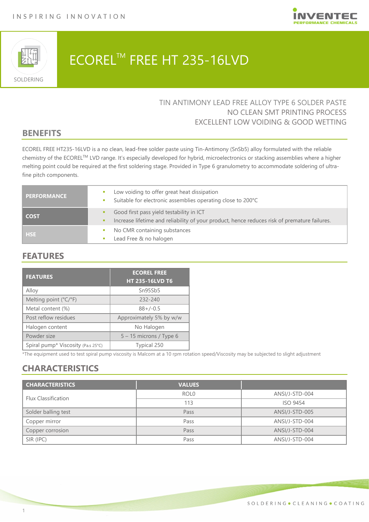



# ECOREL<sup>™</sup> FREE HT 235-16LVD

### TIN ANTIMONY LEAD FREE ALLOY TYPE 6 SOLDER PASTE NO CLEAN SMT PRINTING PROCESS EXCELLENT LOW VOIDING & GOOD WETTING

# **BENEFITS**

ECOREL FREE HT235-16LVD is a no clean, lead-free solder paste using Tin-Antimony (SnSb5) alloy formulated with the reliable chemistry of the ECORELTM LVD range. It's especially developed for hybrid, microelectronics or stacking assemblies where a higher melting point could be required at the first soldering stage. Provided in Type 6 granulometry to accommodate soldering of ultrafine pitch components.

| <b>PERFORMANCE</b> | Low voiding to offer great heat dissipation<br>×<br>Suitable for electronic assemblies operating close to 200°C                          |
|--------------------|------------------------------------------------------------------------------------------------------------------------------------------|
| <b>COST</b>        | Good first pass yield testability in ICT<br>Increase lifetime and reliability of your product, hence reduces risk of premature failures. |
| <b>HSE</b>         | No CMR containing substances<br>×<br>Lead Free & no halogen                                                                              |

# **FEATURES**

| <b>FEATURES</b>                    | <b>ECOREL FREE</b><br><b>HT 235-16LVD T6</b> |
|------------------------------------|----------------------------------------------|
| Alloy                              | Sn95Sb5                                      |
| Melting point (°C/°F)              | 232-240                                      |
| Metal content (%)                  | $88+/-0.5$                                   |
| Post reflow residues               | Approximately 5% by w/w                      |
| Halogen content                    | No Halogen                                   |
| Powder size                        | $5 - 15$ microns / Type 6                    |
| Spiral pump* Viscosity (Pa.s 25°C) | Typical 250                                  |

\*The equipment used to test spiral pump viscosity is Malcom at a 10 rpm rotation speed/Viscosity may be subjected to slight adjustment

# **CHARACTERISTICS**

| <b>CHARACTERISTICS</b>     | <b>VALUES</b>    |                 |
|----------------------------|------------------|-----------------|
| <b>Flux Classification</b> | ROL <sub>0</sub> | ANSI/J-STD-004  |
|                            | 113              | <b>ISO 9454</b> |
| Solder balling test        | Pass             | ANSI/J-STD-005  |
| Copper mirror              | Pass             | ANSI/J-STD-004  |
| Copper corrosion           | Pass             | ANSI/J-STD-004  |
| SIR (IPC)                  | Pass             | ANSI/J-STD-004  |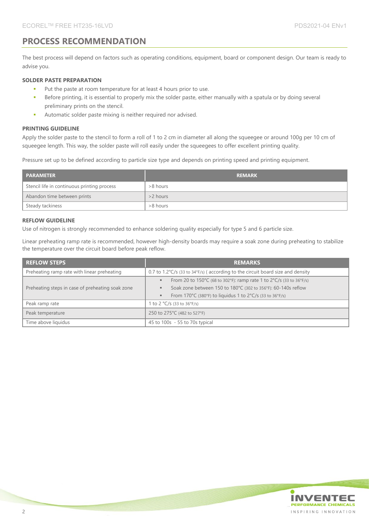### **PROCESS RECOMMENDATION**

The best process will depend on factors such as operating conditions, equipment, board or component design. Our team is ready to advise you.

#### **SOLDER PASTE PREPARATION**

- Put the paste at room temperature for at least 4 hours prior to use.
- Before printing, it is essential to properly mix the solder paste, either manually with a spatula or by doing several preliminary prints on the stencil.
- Automatic solder paste mixing is neither required nor advised.

#### **PRINTING GUIDELINE**

Apply the solder paste to the stencil to form a roll of 1 to 2 cm in diameter all along the squeegee or around 100g per 10 cm of squeegee length. This way, the solder paste will roll easily under the squeegees to offer excellent printing quality.

Pressure set up to be defined according to particle size type and depends on printing speed and printing equipment.

| <b>PARAMETER</b>                            | <b>REMARK</b> |
|---------------------------------------------|---------------|
| Stencil life in continuous printing process | >8 hours      |
| Abandon time between prints                 | >2 hours      |
| Steady tackiness                            | >8 hours      |

#### **REFLOW GUIDELINE**

Use of nitrogen is strongly recommended to enhance soldering quality especially for type 5 and 6 particle size.

Linear preheating ramp rate is recommended, however high-density boards may require a soak zone during preheating to stabilize the temperature over the circuit board before peak reflow.

| <b>REFLOW STEPS</b>                              | <b>REMARKS</b>                                                                                                                                                                                            |  |
|--------------------------------------------------|-----------------------------------------------------------------------------------------------------------------------------------------------------------------------------------------------------------|--|
| Preheating ramp rate with linear preheating      | 0.7 to 1.2 $\degree$ C/s (33 to 34 $\degree$ F/s) (according to the circuit board size and density                                                                                                        |  |
| Preheating steps in case of preheating soak zone | From 20 to 150°C (68 to 302°F): ramp rate 1 to $2^{\circ}C/s$ (33 to 36°F/s)<br>Soak zone between 150 to 180°C (302 to 356°F): 60-140s reflow<br>From 170°C (380°F) to liquidus 1 to 2°C/s (33 to 36°F/s) |  |
| Peak ramp rate                                   | 1 to 2 $°C/s$ (33 to 36°F/s)                                                                                                                                                                              |  |
| Peak temperature                                 | 250 to 275°C (482 to 527°F)                                                                                                                                                                               |  |
| Time above liquidus                              | 45 to 100s - 55 to 70s typical                                                                                                                                                                            |  |

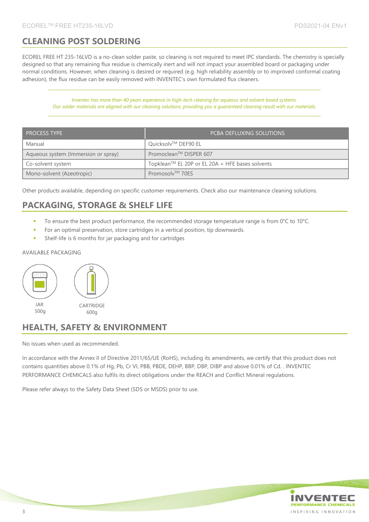# **CLEANING POST SOLDERING**

ECOREL FREE HT 235-16LVD is a no-clean solder paste, so cleaning is not required to meet IPC standards. The chemistry is specially designed so that any remaining flux residue is chemically inert and will not impact your assembled board or packaging under normal conditions. However, when cleaning is desired or required (e.g. high reliability assembly or to improved conformal coating adhesion), the flux residue can be easily removed with INVENTEC's own formulated flux cleaners.

*Inventec has more than 40 years experience in high-tech cleaning for aqueous and solvent based systems. Our solder materials are aligned with our cleaning solutions, providing you a guaranteed cleaning result with our materials.* 

| <b>PROCESS TYPE</b>                 | <b>PCBA DEFLUXING SOLUTIONS</b>                 |
|-------------------------------------|-------------------------------------------------|
| Manual                              | Quicksolv™ DEF90 EL                             |
| Aqueous system (Immersion or spray) | Promoclean™ DISPER 607                          |
| Co-solvent system                   | Topklean™ EL 20P or EL 20A + HFE bases solvents |
| Mono-solvent (Azeotropic)           | Promosolv™ 70ES                                 |

Other products available, depending on specific customer requirements. Check also our maintenance cleaning solutions.

# **PACKAGING, STORAGE & SHELF LIFE**

- To ensure the best product performance, the recommended storage temperature range is from 0°C to 10°C.
- For an optimal preservation, store cartridges in a vertical position, tip downwards.
- Shelf-life is 6 months for jar packaging and for cartridges

#### AVAILABLE PACKAGING



### **HEALTH, SAFETY & ENVIRONMENT**

No issues when used as recommended.

In accordance with the Annex II of Directive 2011/65/UE (RoHS), including its amendments, we certify that this product does not contains quantities above 0.1% of Hg, Pb, Cr VI, PBB, PBDE, DEHP, BBP, DBP, DIBP and above 0.01% of Cd. . INVENTEC PERFORMANCE CHEMICALS also fulfils its direct obligations under the REACH and Conflict Mineral regulations.

Please refer always to the Safety Data Sheet (SDS or MSDS) prior to use.